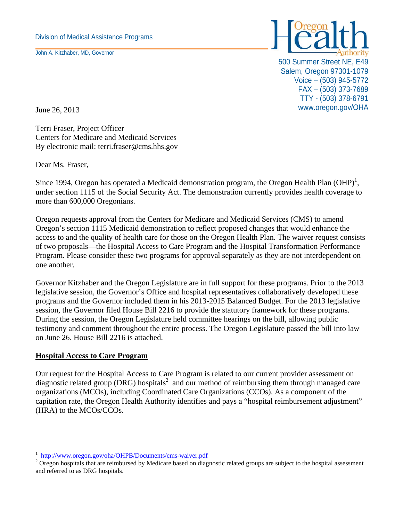John A. Kitzhaber, MD, Governor



500 Summer Street NE, E49 Salem, Oregon 97301-1079 Voice – (503) 945-5772 FAX – (503) 373-7689 TTY - (503) 378-6791 June 26, 2013 Www.oregon.gov/OHA

Terri Fraser, Project Officer Centers for Medicare and Medicaid Services By electronic mail: terri.fraser@cms.hhs.gov

Dear Ms. Fraser,

Since 1994, Oregon has operated a Medicaid demonstration program, the Oregon Health Plan  $(OHP)^1$ , under section 1115 of the Social Security Act. The demonstration currently provides health coverage to more than 600,000 Oregonians.

Oregon requests approval from the Centers for Medicare and Medicaid Services (CMS) to amend Oregon's section 1115 Medicaid demonstration to reflect proposed changes that would enhance the access to and the quality of health care for those on the Oregon Health Plan. The waiver request consists of two proposals—the Hospital Access to Care Program and the Hospital Transformation Performance Program. Please consider these two programs for approval separately as they are not interdependent on one another.

Governor Kitzhaber and the Oregon Legislature are in full support for these programs. Prior to the 2013 legislative session, the Governor's Office and hospital representatives collaboratively developed these programs and the Governor included them in his 2013-2015 Balanced Budget. For the 2013 legislative session, the Governor filed House Bill 2216 to provide the statutory framework for these programs. During the session, the Oregon Legislature held committee hearings on the bill, allowing public testimony and comment throughout the entire process. The Oregon Legislature passed the bill into law on June 26. House Bill 2216 is attached.

## **Hospital Access to Care Program**

 $\overline{a}$ 

Our request for the Hospital Access to Care Program is related to our current provider assessment on diagnostic related group (DRG) hospitals<sup>2</sup> and our method of reimbursing them through managed care organizations (MCOs), including Coordinated Care Organizations (CCOs). As a component of the capitation rate, the Oregon Health Authority identifies and pays a "hospital reimbursement adjustment" (HRA) to the MCOs/CCOs.

<sup>1</sup> http://www.oregon.gov/oha/OHPB/Documents/cms-waiver.pdf 2

 $2$  Oregon hospitals that are reimbursed by Medicare based on diagnostic related groups are subject to the hospital assessment and referred to as DRG hospitals.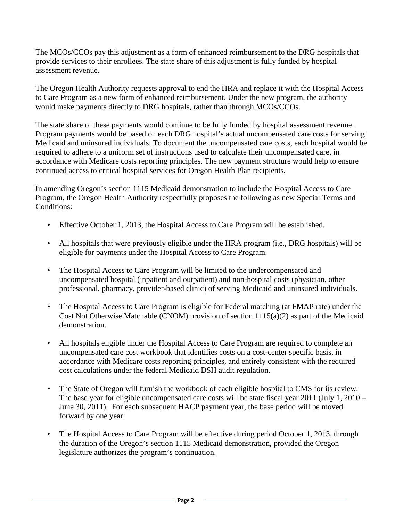The MCOs/CCOs pay this adjustment as a form of enhanced reimbursement to the DRG hospitals that provide services to their enrollees. The state share of this adjustment is fully funded by hospital assessment revenue.

The Oregon Health Authority requests approval to end the HRA and replace it with the Hospital Access to Care Program as a new form of enhanced reimbursement. Under the new program, the authority would make payments directly to DRG hospitals, rather than through MCOs/CCOs.

The state share of these payments would continue to be fully funded by hospital assessment revenue. Program payments would be based on each DRG hospital's actual uncompensated care costs for serving Medicaid and uninsured individuals. To document the uncompensated care costs, each hospital would be required to adhere to a uniform set of instructions used to calculate their uncompensated care, in accordance with Medicare costs reporting principles. The new payment structure would help to ensure continued access to critical hospital services for Oregon Health Plan recipients.

In amending Oregon's section 1115 Medicaid demonstration to include the Hospital Access to Care Program, the Oregon Health Authority respectfully proposes the following as new Special Terms and Conditions:

- Effective October 1, 2013, the Hospital Access to Care Program will be established.
- All hospitals that were previously eligible under the HRA program (i.e., DRG hospitals) will be eligible for payments under the Hospital Access to Care Program.
- The Hospital Access to Care Program will be limited to the undercompensated and uncompensated hospital (inpatient and outpatient) and non-hospital costs (physician, other professional, pharmacy, provider-based clinic) of serving Medicaid and uninsured individuals.
- The Hospital Access to Care Program is eligible for Federal matching (at FMAP rate) under the Cost Not Otherwise Matchable (CNOM) provision of section 1115(a)(2) as part of the Medicaid demonstration.
- All hospitals eligible under the Hospital Access to Care Program are required to complete an uncompensated care cost workbook that identifies costs on a cost-center specific basis, in accordance with Medicare costs reporting principles, and entirely consistent with the required cost calculations under the federal Medicaid DSH audit regulation.
- The State of Oregon will furnish the workbook of each eligible hospital to CMS for its review. The base year for eligible uncompensated care costs will be state fiscal year 2011 (July 1, 2010 – June 30, 2011). For each subsequent HACP payment year, the base period will be moved forward by one year.
- The Hospital Access to Care Program will be effective during period October 1, 2013, through the duration of the Oregon's section 1115 Medicaid demonstration, provided the Oregon legislature authorizes the program's continuation.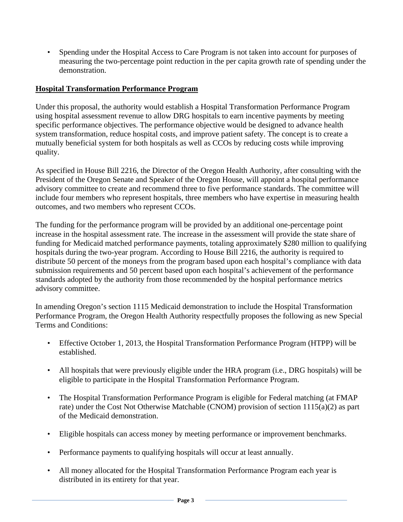• Spending under the Hospital Access to Care Program is not taken into account for purposes of measuring the two-percentage point reduction in the per capita growth rate of spending under the demonstration.

## **Hospital Transformation Performance Program**

Under this proposal, the authority would establish a Hospital Transformation Performance Program using hospital assessment revenue to allow DRG hospitals to earn incentive payments by meeting specific performance objectives. The performance objective would be designed to advance health system transformation, reduce hospital costs, and improve patient safety. The concept is to create a mutually beneficial system for both hospitals as well as CCOs by reducing costs while improving quality.

As specified in House Bill 2216, the Director of the Oregon Health Authority, after consulting with the President of the Oregon Senate and Speaker of the Oregon House, will appoint a hospital performance advisory committee to create and recommend three to five performance standards. The committee will include four members who represent hospitals, three members who have expertise in measuring health outcomes, and two members who represent CCOs.

The funding for the performance program will be provided by an additional one-percentage point increase in the hospital assessment rate. The increase in the assessment will provide the state share of funding for Medicaid matched performance payments, totaling approximately \$280 million to qualifying hospitals during the two-year program. According to House Bill 2216, the authority is required to distribute 50 percent of the moneys from the program based upon each hospital's compliance with data submission requirements and 50 percent based upon each hospital's achievement of the performance standards adopted by the authority from those recommended by the hospital performance metrics advisory committee.

In amending Oregon's section 1115 Medicaid demonstration to include the Hospital Transformation Performance Program, the Oregon Health Authority respectfully proposes the following as new Special Terms and Conditions:

- Effective October 1, 2013, the Hospital Transformation Performance Program (HTPP) will be established.
- All hospitals that were previously eligible under the HRA program (i.e., DRG hospitals) will be eligible to participate in the Hospital Transformation Performance Program.
- The Hospital Transformation Performance Program is eligible for Federal matching (at FMAP rate) under the Cost Not Otherwise Matchable (CNOM) provision of section 1115(a)(2) as part of the Medicaid demonstration.
- Eligible hospitals can access money by meeting performance or improvement benchmarks.
- Performance payments to qualifying hospitals will occur at least annually.
- All money allocated for the Hospital Transformation Performance Program each year is distributed in its entirety for that year.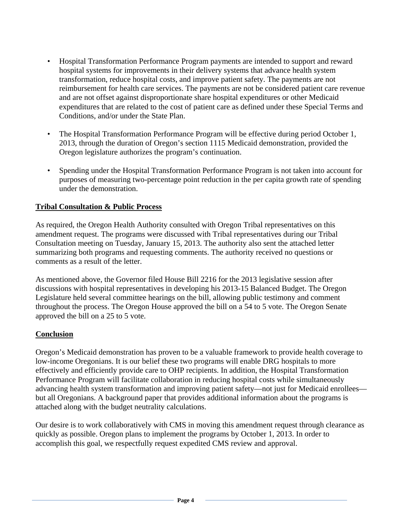- Hospital Transformation Performance Program payments are intended to support and reward hospital systems for improvements in their delivery systems that advance health system transformation, reduce hospital costs, and improve patient safety. The payments are not reimbursement for health care services. The payments are not be considered patient care revenue and are not offset against disproportionate share hospital expenditures or other Medicaid expenditures that are related to the cost of patient care as defined under these Special Terms and Conditions, and/or under the State Plan.
- The Hospital Transformation Performance Program will be effective during period October 1, 2013, through the duration of Oregon's section 1115 Medicaid demonstration, provided the Oregon legislature authorizes the program's continuation.
- Spending under the Hospital Transformation Performance Program is not taken into account for purposes of measuring two-percentage point reduction in the per capita growth rate of spending under the demonstration.

## **Tribal Consultation & Public Process**

As required, the Oregon Health Authority consulted with Oregon Tribal representatives on this amendment request. The programs were discussed with Tribal representatives during our Tribal Consultation meeting on Tuesday, January 15, 2013. The authority also sent the attached letter summarizing both programs and requesting comments. The authority received no questions or comments as a result of the letter.

As mentioned above, the Governor filed House Bill 2216 for the 2013 legislative session after discussions with hospital representatives in developing his 2013-15 Balanced Budget. The Oregon Legislature held several committee hearings on the bill, allowing public testimony and comment throughout the process. The Oregon House approved the bill on a 54 to 5 vote. The Oregon Senate approved the bill on a 25 to 5 vote.

## **Conclusion**

Oregon's Medicaid demonstration has proven to be a valuable framework to provide health coverage to low-income Oregonians. It is our belief these two programs will enable DRG hospitals to more effectively and efficiently provide care to OHP recipients. In addition, the Hospital Transformation Performance Program will facilitate collaboration in reducing hospital costs while simultaneously advancing health system transformation and improving patient safety—not just for Medicaid enrollees but all Oregonians. A background paper that provides additional information about the programs is attached along with the budget neutrality calculations.

Our desire is to work collaboratively with CMS in moving this amendment request through clearance as quickly as possible. Oregon plans to implement the programs by October 1, 2013. In order to accomplish this goal, we respectfully request expedited CMS review and approval.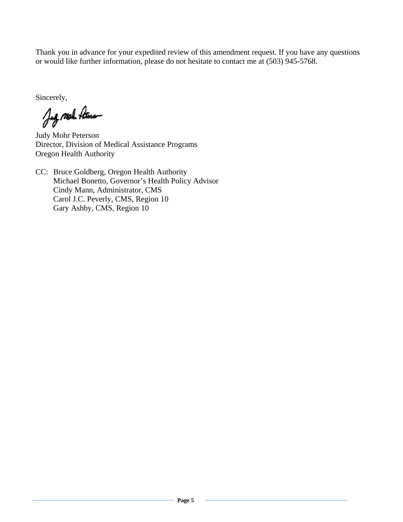Thank you in advance for your expedited review of this amendment request. If you have any questions or would like further information, please do not hesitate to contact me at (503) 945-5768.

Sincerely,

Jeg mal Ateran

Judy Mohr Peterson Director, Division of Medical Assistance Programs Oregon Health Authority

CC: Bruce Goldberg, Oregon Health Authority Michael Bonetto, Governor's Health Policy Advisor Cindy Mann, Administrator, CMS Carol J.C. Peverly, CMS, Region 10 Gary Ashby, CMS, Region 10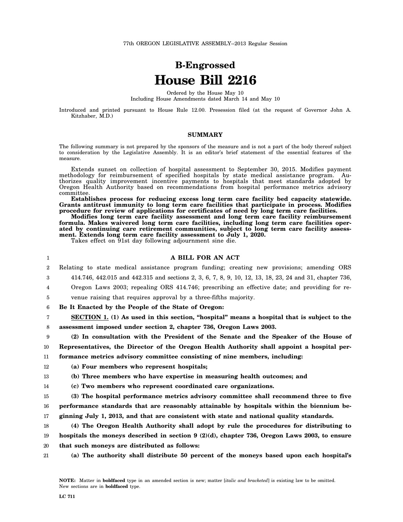# **B-Engrossed House Bill 2216**

Ordered by the House May 10 Including House Amendments dated March 14 and May 10

Introduced and printed pursuant to House Rule 12.00. Presession filed (at the request of Governor John A. Kitzhaber, M.D.)

### **SUMMARY**

The following summary is not prepared by the sponsors of the measure and is not a part of the body thereof subject to consideration by the Legislative Assembly. It is an editor's brief statement of the essential features of the measure.

Extends sunset on collection of hospital assessment to September 30, 2015. Modifies payment methodology for reimbursement of specified hospitals by state medical assistance program. Authorizes quality improvement incentive payments to hospitals that meet standards adopted by Oregon Health Authority based on recommendations from hospital performance metrics advisory committee.

**Establishes process for reducing excess long term care facility bed capacity statewide. Grants antitrust immunity to long term care facilities that participate in process. Modifies procedure for review of applications for certificates of need by long term care facilities.**

**Modifies long term care facility assessment and long term care facility reimbursement formula. Makes waivered long term care facilities, including long term care facilities operated by continuing care retirement communities, subject to long term care facility assessment. Extends long term care facility assessment to July 1, 2020.**

Takes effect on 91st day following adjournment sine die.

### **A BILL FOR AN ACT**

- 2 Relating to state medical assistance program funding; creating new provisions; amending ORS
	- 414.746, 442.015 and 442.315 and sections 2, 3, 6, 7, 8, 9, 10, 12, 13, 18, 23, 24 and 31, chapter 736,
- 4 Oregon Laws 2003; repealing ORS 414.746; prescribing an effective date; and providing for re-
- 5 venue raising that requires approval by a three-fifths majority.

6 **Be It Enacted by the People of the State of Oregon:**

7 8 **SECTION 1. (1) As used in this section, "hospital" means a hospital that is subject to the assessment imposed under section 2, chapter 736, Oregon Laws 2003.**

9 10 11 **(2) In consultation with the President of the Senate and the Speaker of the House of Representatives, the Director of the Oregon Health Authority shall appoint a hospital performance metrics advisory committee consisting of nine members, including:**

- 12 **(a) Four members who represent hospitals;**
- 13 **(b) Three members who have expertise in measuring health outcomes; and**
- 14 **(c) Two members who represent coordinated care organizations.**

15 16 17 **(3) The hospital performance metrics advisory committee shall recommend three to five performance standards that are reasonably attainable by hospitals within the biennium beginning July 1, 2013, and that are consistent with state and national quality standards.**

- 18 19 20 **(4) The Oregon Health Authority shall adopt by rule the procedures for distributing to hospitals the moneys described in section 9 (2)(d), chapter 736, Oregon Laws 2003, to ensure that such moneys are distributed as follows:**
- 21 **(a) The authority shall distribute 50 percent of the moneys based upon each hospital's**

1

3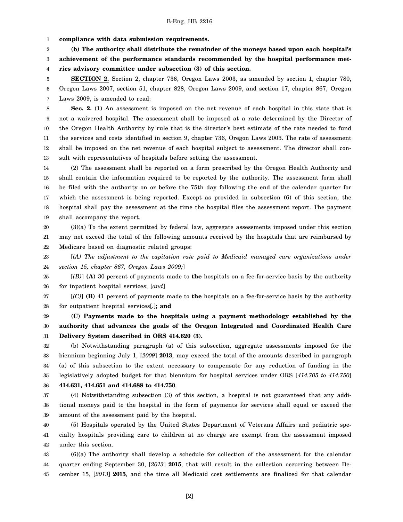1 **compliance with data submission requirements.**

2 **(b) The authority shall distribute the remainder of the moneys based upon each hospital's**

3 **achievement of the performance standards recommended by the hospital performance met-**

4 **rics advisory committee under subsection (3) of this section.**

5 6 7 **SECTION 2.** Section 2, chapter 736, Oregon Laws 2003, as amended by section 1, chapter 780, Oregon Laws 2007, section 51, chapter 828, Oregon Laws 2009, and section 17, chapter 867, Oregon Laws 2009, is amended to read:

8 9 10 11 12 13 **Sec. 2.** (1) An assessment is imposed on the net revenue of each hospital in this state that is not a waivered hospital. The assessment shall be imposed at a rate determined by the Director of the Oregon Health Authority by rule that is the director's best estimate of the rate needed to fund the services and costs identified in section 9, chapter 736, Oregon Laws 2003. The rate of assessment shall be imposed on the net revenue of each hospital subject to assessment. The director shall consult with representatives of hospitals before setting the assessment.

14 15 16 17 18 19 (2) The assessment shall be reported on a form prescribed by the Oregon Health Authority and shall contain the information required to be reported by the authority. The assessment form shall be filed with the authority on or before the 75th day following the end of the calendar quarter for which the assessment is being reported. Except as provided in subsection (6) of this section, the hospital shall pay the assessment at the time the hospital files the assessment report. The payment shall accompany the report.

20 21 22 (3)(a) To the extent permitted by federal law, aggregate assessments imposed under this section may not exceed the total of the following amounts received by the hospitals that are reimbursed by Medicare based on diagnostic related groups:

23 24 [*(A) The adjustment to the capitation rate paid to Medicaid managed care organizations under section 15, chapter 867, Oregon Laws 2009;*]

25 26 [*(B)*] **(A)** 30 percent of payments made to **the** hospitals on a fee-for-service basis by the authority for inpatient hospital services; [*and*]

27 28 [*(C)*] **(B)** 41 percent of payments made to **the** hospitals on a fee-for-service basis by the authority for outpatient hospital services[*.*]**; and**

29 30 31 **(C) Payments made to the hospitals using a payment methodology established by the authority that advances the goals of the Oregon Integrated and Coordinated Health Care Delivery System described in ORS 414.620 (3).**

32 33 34 35 36 (b) Notwithstanding paragraph (a) of this subsection, aggregate assessments imposed for the biennium beginning July 1, [*2009*] **2013**, may exceed the total of the amounts described in paragraph (a) of this subsection to the extent necessary to compensate for any reduction of funding in the legislatively adopted budget for that biennium for hospital services under ORS [*414.705 to 414.750*] **414.631, 414.651 and 414.688 to 414.750**.

37 38 39 (4) Notwithstanding subsection (3) of this section, a hospital is not guaranteed that any additional moneys paid to the hospital in the form of payments for services shall equal or exceed the amount of the assessment paid by the hospital.

40 41 42 (5) Hospitals operated by the United States Department of Veterans Affairs and pediatric specialty hospitals providing care to children at no charge are exempt from the assessment imposed under this section.

43 44 45 (6)(a) The authority shall develop a schedule for collection of the assessment for the calendar quarter ending September 30, [*2013*] **2015**, that will result in the collection occurring between December 15, [*2013*] **2015**, and the time all Medicaid cost settlements are finalized for that calendar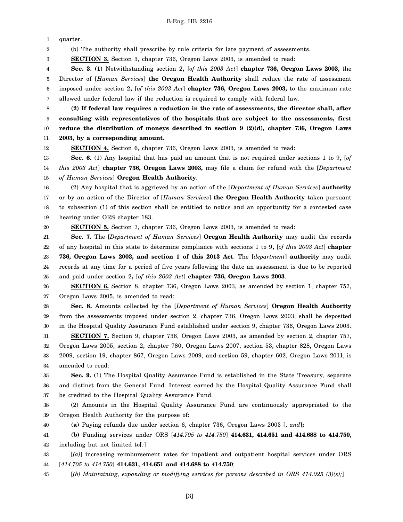1 quarter.

2 (b) The authority shall prescribe by rule criteria for late payment of assessments.

3 **SECTION 3.** Section 3, chapter 736, Oregon Laws 2003, is amended to read:

4 5 6 7 **Sec. 3. (1)** Notwithstanding section 2**,** [*of this 2003 Act*] **chapter 736, Oregon Laws 2003**, the Director of [*Human Services*] **the Oregon Health Authority** shall reduce the rate of assessment imposed under section 2**,** [*of this 2003 Act*] **chapter 736, Oregon Laws 2003,** to the maximum rate allowed under federal law if the reduction is required to comply with federal law.

8 9 10 11 **(2) If federal law requires a reduction in the rate of assessments, the director shall, after consulting with representatives of the hospitals that are subject to the assessments, first reduce the distribution of moneys described in section 9 (2)(d), chapter 736, Oregon Laws 2003, by a corresponding amount.**

12 **SECTION 4.** Section 6, chapter 736, Oregon Laws 2003, is amended to read:

13 14 15 **Sec. 6.** (1) Any hospital that has paid an amount that is not required under sections 1 to 9**,** [*of this 2003 Act*] **chapter 736, Oregon Laws 2003,** may file a claim for refund with the [*Department of Human Services*] **Oregon Health Authority**.

16 17 18 19 (2) Any hospital that is aggrieved by an action of the [*Department of Human Services*] **authority** or by an action of the Director of [*Human Services*] **the Oregon Health Authority** taken pursuant to subsection (1) of this section shall be entitled to notice and an opportunity for a contested case hearing under ORS chapter 183.

20 **SECTION 5.** Section 7, chapter 736, Oregon Laws 2003, is amended to read:

21 22 23 24 25 **Sec. 7.** The [*Department of Human Services*] **Oregon Health Authority** may audit the records of any hospital in this state to determine compliance with sections 1 to 9**,** [*of this 2003 Act*] **chapter 736, Oregon Laws 2003, and section 1 of this 2013 Act**. The [*department*] **authority** may audit records at any time for a period of five years following the date an assessment is due to be reported and paid under section 2**,** [*of this 2003 Act*] **chapter 736, Oregon Laws 2003**.

26 27 **SECTION 6.** Section 8, chapter 736, Oregon Laws 2003, as amended by section 1, chapter 757, Oregon Laws 2005, is amended to read:

28 29 30 **Sec. 8.** Amounts collected by the [*Department of Human Services*] **Oregon Health Authority** from the assessments imposed under section 2, chapter 736, Oregon Laws 2003, shall be deposited in the Hospital Quality Assurance Fund established under section 9, chapter 736, Oregon Laws 2003.

31 32 33 34 **SECTION 7.** Section 9, chapter 736, Oregon Laws 2003, as amended by section 2, chapter 757, Oregon Laws 2005, section 2, chapter 780, Oregon Laws 2007, section 53, chapter 828, Oregon Laws 2009, section 19, chapter 867, Oregon Laws 2009, and section 59, chapter 602, Oregon Laws 2011, is amended to read:

35 36 37 **Sec. 9.** (1) The Hospital Quality Assurance Fund is established in the State Treasury, separate and distinct from the General Fund. Interest earned by the Hospital Quality Assurance Fund shall be credited to the Hospital Quality Assurance Fund.

38 39 (2) Amounts in the Hospital Quality Assurance Fund are continuously appropriated to the Oregon Health Authority for the purpose of**:**

40

**(a)** Paying refunds due under section 6, chapter 736, Oregon Laws 2003 [, *and*]**;**

41 42 **(b)** Funding services under ORS [*414.705 to 414.750*] **414.631, 414.651 and 414.688 to 414.750**, including but not limited to[*:*]

43 44 [*(a)*] increasing reimbursement rates for inpatient and outpatient hospital services under ORS [*414.705 to 414.750*] **414.631, 414.651 and 414.688 to 414.750**;

45 [*(b) Maintaining, expanding or modifying services for persons described in ORS 414.025 (3)(s);*]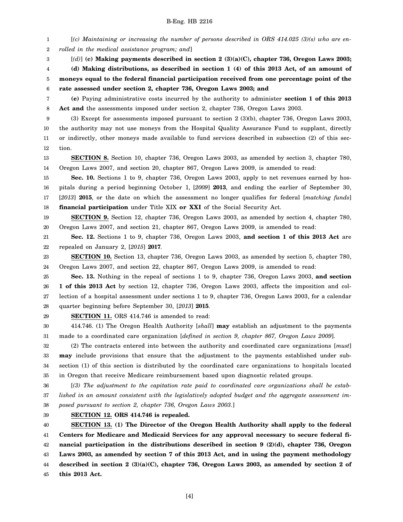1 2 [*(c) Maintaining or increasing the number of persons described in ORS 414.025 (3)(s) who are enrolled in the medical assistance program; and*]

[*(d)*] **(c) Making payments described in section 2 (3)(a)(C), chapter 736, Oregon Laws 2003;**

4 **(d) Making distributions, as described in section 1 (4) of this 2013 Act, of an amount of**

5 6 **moneys equal to the federal financial participation received from one percentage point of the rate assessed under section 2, chapter 736, Oregon Laws 2003; and**

7 8 **(e)** Paying administrative costs incurred by the authority to administer **section 1 of this 2013 Act and** the assessments imposed under section 2, chapter 736, Oregon Laws 2003.

9 10 11 12 (3) Except for assessments imposed pursuant to section 2 (3)(b), chapter 736, Oregon Laws 2003, the authority may not use moneys from the Hospital Quality Assurance Fund to supplant, directly or indirectly, other moneys made available to fund services described in subsection (2) of this section.

13 14 **SECTION 8.** Section 10, chapter 736, Oregon Laws 2003, as amended by section 3, chapter 780, Oregon Laws 2007, and section 20, chapter 867, Oregon Laws 2009, is amended to read:

15 16 17 18 **Sec. 10.** Sections 1 to 9, chapter 736, Oregon Laws 2003, apply to net revenues earned by hospitals during a period beginning October 1, [*2009*] **2013**, and ending the earlier of September 30, [*2013*] **2015**, or the date on which the assessment no longer qualifies for federal [*matching funds*] **financial participation** under Title XIX **or XXI** of the Social Security Act.

19 20 **SECTION 9.** Section 12, chapter 736, Oregon Laws 2003, as amended by section 4, chapter 780, Oregon Laws 2007, and section 21, chapter 867, Oregon Laws 2009, is amended to read:

21 22 **Sec. 12.** Sections 1 to 9, chapter 736, Oregon Laws 2003, **and section 1 of this 2013 Act** are repealed on January 2, [*2015*] **2017**.

23 24 **SECTION 10.** Section 13, chapter 736, Oregon Laws 2003, as amended by section 5, chapter 780, Oregon Laws 2007, and section 22, chapter 867, Oregon Laws 2009, is amended to read:

25 26 27 28 **Sec. 13.** Nothing in the repeal of sections 1 to 9, chapter 736, Oregon Laws 2003, **and section 1 of this 2013 Act** by section 12, chapter 736, Oregon Laws 2003, affects the imposition and collection of a hospital assessment under sections 1 to 9, chapter 736, Oregon Laws 2003, for a calendar quarter beginning before September 30, [*2013*] **2015**.

29

3

**SECTION 11.** ORS 414.746 is amended to read:

30 31 414.746. (1) The Oregon Health Authority [*shall*] **may** establish an adjustment to the payments made to a coordinated care organization [*defined in section 9, chapter 867, Oregon Laws 2009*].

32 33 34 35 (2) The contracts entered into between the authority and coordinated care organizations [*must*] **may** include provisions that ensure that the adjustment to the payments established under subsection (1) of this section is distributed by the coordinated care organizations to hospitals located in Oregon that receive Medicare reimbursement based upon diagnostic related groups.

36 37 38 [*(3) The adjustment to the capitation rate paid to coordinated care organizations shall be established in an amount consistent with the legislatively adopted budget and the aggregate assessment imposed pursuant to section 2, chapter 736, Oregon Laws 2003.*]

39

**SECTION 12. ORS 414.746 is repealed.**

40 41 42 43 44 45 **SECTION 13. (1) The Director of the Oregon Health Authority shall apply to the federal Centers for Medicare and Medicaid Services for any approval necessary to secure federal financial participation in the distributions described in section 9 (2)(d), chapter 736, Oregon Laws 2003, as amended by section 7 of this 2013 Act, and in using the payment methodology described in section 2 (3)(a)(C), chapter 736, Oregon Laws 2003, as amended by section 2 of this 2013 Act.**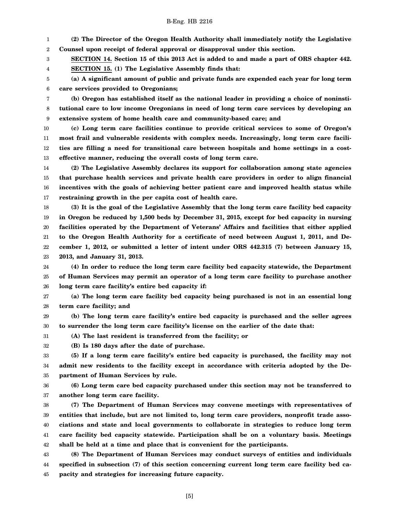1 2 **(2) The Director of the Oregon Health Authority shall immediately notify the Legislative Counsel upon receipt of federal approval or disapproval under this section.**

3 **SECTION 14. Section 15 of this 2013 Act is added to and made a part of ORS chapter 442.**

4 **SECTION 15. (1) The Legislative Assembly finds that:**

5 6 **(a) A significant amount of public and private funds are expended each year for long term care services provided to Oregonians;**

7 8 9 **(b) Oregon has established itself as the national leader in providing a choice of noninstitutional care to low income Oregonians in need of long term care services by developing an extensive system of home health care and community-based care; and**

10 11 12 13 **(c) Long term care facilities continue to provide critical services to some of Oregon's most frail and vulnerable residents with complex needs. Increasingly, long term care facilities are filling a need for transitional care between hospitals and home settings in a costeffective manner, reducing the overall costs of long term care.**

14 15 16 17 **(2) The Legislative Assembly declares its support for collaboration among state agencies that purchase health services and private health care providers in order to align financial incentives with the goals of achieving better patient care and improved health status while restraining growth in the per capita cost of health care.**

18 19 20 21 22 23 **(3) It is the goal of the Legislative Assembly that the long term care facility bed capacity in Oregon be reduced by 1,500 beds by December 31, 2015, except for bed capacity in nursing facilities operated by the Department of Veterans' Affairs and facilities that either applied to the Oregon Health Authority for a certificate of need between August 1, 2011, and December 1, 2012, or submitted a letter of intent under ORS 442.315 (7) between January 15, 2013, and January 31, 2013.**

24 25 26 **(4) In order to reduce the long term care facility bed capacity statewide, the Department of Human Services may permit an operator of a long term care facility to purchase another long term care facility's entire bed capacity if:**

27 28 **(a) The long term care facility bed capacity being purchased is not in an essential long term care facility; and**

29 30 **(b) The long term care facility's entire bed capacity is purchased and the seller agrees to surrender the long term care facility's license on the earlier of the date that:**

31 32

**(B) Is 180 days after the date of purchase.**

**(A) The last resident is transferred from the facility; or**

33 34 35 **(5) If a long term care facility's entire bed capacity is purchased, the facility may not admit new residents to the facility except in accordance with criteria adopted by the Department of Human Services by rule.**

36 37 **(6) Long term care bed capacity purchased under this section may not be transferred to another long term care facility.**

38 39 40 41 42 **(7) The Department of Human Services may convene meetings with representatives of entities that include, but are not limited to, long term care providers, nonprofit trade associations and state and local governments to collaborate in strategies to reduce long term care facility bed capacity statewide. Participation shall be on a voluntary basis. Meetings shall be held at a time and place that is convenient for the participants.**

43 44 45 **(8) The Department of Human Services may conduct surveys of entities and individuals specified in subsection (7) of this section concerning current long term care facility bed capacity and strategies for increasing future capacity.**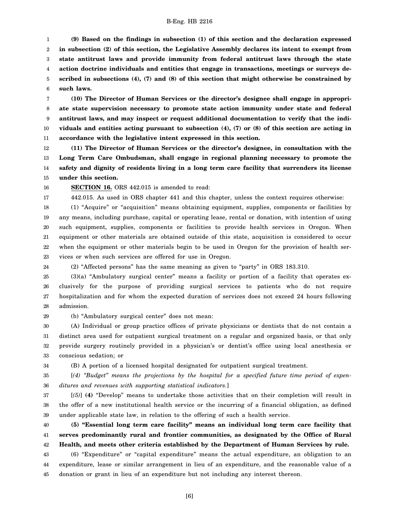1 2 3 4 5 6 **(9) Based on the findings in subsection (1) of this section and the declaration expressed in subsection (2) of this section, the Legislative Assembly declares its intent to exempt from state antitrust laws and provide immunity from federal antitrust laws through the state action doctrine individuals and entities that engage in transactions, meetings or surveys described in subsections (4), (7) and (8) of this section that might otherwise be constrained by such laws.**

7 8 9 10 11 **(10) The Director of Human Services or the director's designee shall engage in appropriate state supervision necessary to promote state action immunity under state and federal antitrust laws, and may inspect or request additional documentation to verify that the individuals and entities acting pursuant to subsection (4), (7) or (8) of this section are acting in accordance with the legislative intent expressed in this section.**

12 13 14 15 **(11) The Director of Human Services or the director's designee, in consultation with the Long Term Care Ombudsman, shall engage in regional planning necessary to promote the safety and dignity of residents living in a long term care facility that surrenders its license under this section.**

16 17

24

**SECTION 16.** ORS 442.015 is amended to read:

442.015. As used in ORS chapter 441 and this chapter, unless the context requires otherwise:

18 19 20 21 22 23 (1) "Acquire" or "acquisition" means obtaining equipment, supplies, components or facilities by any means, including purchase, capital or operating lease, rental or donation, with intention of using such equipment, supplies, components or facilities to provide health services in Oregon. When equipment or other materials are obtained outside of this state, acquisition is considered to occur when the equipment or other materials begin to be used in Oregon for the provision of health services or when such services are offered for use in Oregon.

(2) "Affected persons" has the same meaning as given to "party" in ORS 183.310.

25 26 27 28 (3)(a) "Ambulatory surgical center" means a facility or portion of a facility that operates exclusively for the purpose of providing surgical services to patients who do not require hospitalization and for whom the expected duration of services does not exceed 24 hours following admission.

29 (b) "Ambulatory surgical center" does not mean:

30 31 32 33 (A) Individual or group practice offices of private physicians or dentists that do not contain a distinct area used for outpatient surgical treatment on a regular and organized basis, or that only provide surgery routinely provided in a physician's or dentist's office using local anesthesia or conscious sedation; or

34 (B) A portion of a licensed hospital designated for outpatient surgical treatment.

35 36 [*(4) "Budget" means the projections by the hospital for a specified future time period of expenditures and revenues with supporting statistical indicators.*]

37 38 39 [*(5)*] **(4)** "Develop" means to undertake those activities that on their completion will result in the offer of a new institutional health service or the incurring of a financial obligation, as defined under applicable state law, in relation to the offering of such a health service.

40 41 42 43 44 45 **(5) "Essential long term care facility" means an individual long term care facility that serves predominantly rural and frontier communities, as designated by the Office of Rural Health, and meets other criteria established by the Department of Human Services by rule.** (6) "Expenditure" or "capital expenditure" means the actual expenditure, an obligation to an expenditure, lease or similar arrangement in lieu of an expenditure, and the reasonable value of a donation or grant in lieu of an expenditure but not including any interest thereon.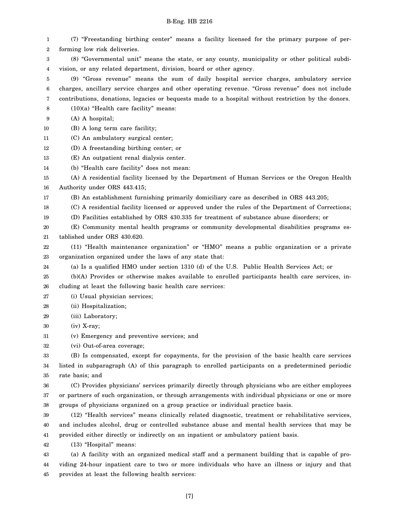1 2 3 4 5 6 7 8 9 10 11 12 13 14 15 16 17 18 19 20 21 22 23 24 25 26 27 28 29 30 31 32 33 34 35 36 37 38 39 40 41 42 43 44 45 (7) "Freestanding birthing center" means a facility licensed for the primary purpose of performing low risk deliveries. (8) "Governmental unit" means the state, or any county, municipality or other political subdivision, or any related department, division, board or other agency. (9) "Gross revenue" means the sum of daily hospital service charges, ambulatory service charges, ancillary service charges and other operating revenue. "Gross revenue" does not include contributions, donations, legacies or bequests made to a hospital without restriction by the donors. (10)(a) "Health care facility" means: (A) A hospital; (B) A long term care facility; (C) An ambulatory surgical center; (D) A freestanding birthing center; or (E) An outpatient renal dialysis center. (b) "Health care facility" does not mean: (A) A residential facility licensed by the Department of Human Services or the Oregon Health Authority under ORS 443.415; (B) An establishment furnishing primarily domiciliary care as described in ORS 443.205; (C) A residential facility licensed or approved under the rules of the Department of Corrections; (D) Facilities established by ORS 430.335 for treatment of substance abuse disorders; or (E) Community mental health programs or community developmental disabilities programs established under ORS 430.620. (11) "Health maintenance organization" or "HMO" means a public organization or a private organization organized under the laws of any state that: (a) Is a qualified HMO under section 1310 (d) of the U.S. Public Health Services Act; or (b)(A) Provides or otherwise makes available to enrolled participants health care services, including at least the following basic health care services: (i) Usual physician services; (ii) Hospitalization; (iii) Laboratory; (iv) X-ray; (v) Emergency and preventive services; and (vi) Out-of-area coverage; (B) Is compensated, except for copayments, for the provision of the basic health care services listed in subparagraph (A) of this paragraph to enrolled participants on a predetermined periodic rate basis; and (C) Provides physicians' services primarily directly through physicians who are either employees or partners of such organization, or through arrangements with individual physicians or one or more groups of physicians organized on a group practice or individual practice basis. (12) "Health services" means clinically related diagnostic, treatment or rehabilitative services, and includes alcohol, drug or controlled substance abuse and mental health services that may be provided either directly or indirectly on an inpatient or ambulatory patient basis. (13) "Hospital" means: (a) A facility with an organized medical staff and a permanent building that is capable of providing 24-hour inpatient care to two or more individuals who have an illness or injury and that provides at least the following health services: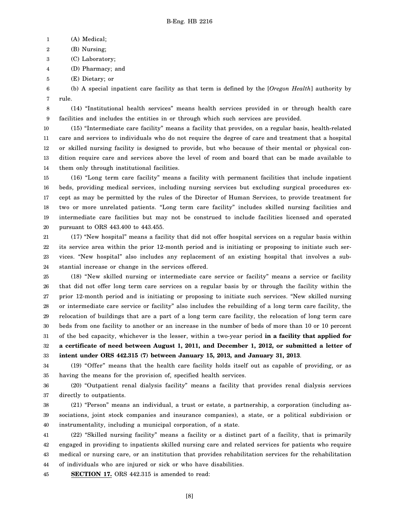1 (A) Medical;

2 (B) Nursing;

3 (C) Laboratory;

4 (D) Pharmacy; and

5 (E) Dietary; or

6 7 (b) A special inpatient care facility as that term is defined by the [*Oregon Health*] authority by rule.

8 9 (14) "Institutional health services" means health services provided in or through health care facilities and includes the entities in or through which such services are provided.

10 11 12 13 14 (15) "Intermediate care facility" means a facility that provides, on a regular basis, health-related care and services to individuals who do not require the degree of care and treatment that a hospital or skilled nursing facility is designed to provide, but who because of their mental or physical condition require care and services above the level of room and board that can be made available to them only through institutional facilities.

15 16 17 18 19 20 (16) "Long term care facility" means a facility with permanent facilities that include inpatient beds, providing medical services, including nursing services but excluding surgical procedures except as may be permitted by the rules of the Director of Human Services, to provide treatment for two or more unrelated patients. "Long term care facility" includes skilled nursing facilities and intermediate care facilities but may not be construed to include facilities licensed and operated pursuant to ORS 443.400 to 443.455.

21 22 23 24 (17) "New hospital" means a facility that did not offer hospital services on a regular basis within its service area within the prior 12-month period and is initiating or proposing to initiate such services. "New hospital" also includes any replacement of an existing hospital that involves a substantial increase or change in the services offered.

25 26 27 28 29 30 31 32 33 (18) "New skilled nursing or intermediate care service or facility" means a service or facility that did not offer long term care services on a regular basis by or through the facility within the prior 12-month period and is initiating or proposing to initiate such services. "New skilled nursing or intermediate care service or facility" also includes the rebuilding of a long term care facility, the relocation of buildings that are a part of a long term care facility, the relocation of long term care beds from one facility to another or an increase in the number of beds of more than 10 or 10 percent of the bed capacity, whichever is the lesser, within a two-year period **in a facility that applied for a certificate of need between August 1, 2011, and December 1, 2012, or submitted a letter of intent under ORS 442.315 (7) between January 15, 2013, and January 31, 2013**.

34 35 (19) "Offer" means that the health care facility holds itself out as capable of providing, or as having the means for the provision of, specified health services.

36 37 (20) "Outpatient renal dialysis facility" means a facility that provides renal dialysis services directly to outpatients.

38 39 40 (21) "Person" means an individual, a trust or estate, a partnership, a corporation (including associations, joint stock companies and insurance companies), a state, or a political subdivision or instrumentality, including a municipal corporation, of a state.

41 42 43 44 (22) "Skilled nursing facility" means a facility or a distinct part of a facility, that is primarily engaged in providing to inpatients skilled nursing care and related services for patients who require medical or nursing care, or an institution that provides rehabilitation services for the rehabilitation of individuals who are injured or sick or who have disabilities.

45 **SECTION 17.** ORS 442.315 is amended to read: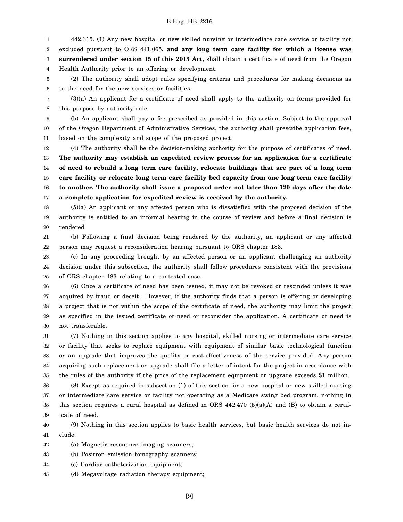1 2 3 4 442.315. (1) Any new hospital or new skilled nursing or intermediate care service or facility not excluded pursuant to ORS 441.065**, and any long term care facility for which a license was surrendered under section 15 of this 2013 Act,** shall obtain a certificate of need from the Oregon Health Authority prior to an offering or development.

5 6 (2) The authority shall adopt rules specifying criteria and procedures for making decisions as to the need for the new services or facilities.

7 8 (3)(a) An applicant for a certificate of need shall apply to the authority on forms provided for this purpose by authority rule.

9 10 11 (b) An applicant shall pay a fee prescribed as provided in this section. Subject to the approval of the Oregon Department of Administrative Services, the authority shall prescribe application fees, based on the complexity and scope of the proposed project.

12 13 14 15 16 17 (4) The authority shall be the decision-making authority for the purpose of certificates of need. **The authority may establish an expedited review process for an application for a certificate of need to rebuild a long term care facility, relocate buildings that are part of a long term care facility or relocate long term care facility bed capacity from one long term care facility to another. The authority shall issue a proposed order not later than 120 days after the date a complete application for expedited review is received by the authority.**

18 19 20 (5)(a) An applicant or any affected person who is dissatisfied with the proposed decision of the authority is entitled to an informal hearing in the course of review and before a final decision is rendered.

21 22 (b) Following a final decision being rendered by the authority, an applicant or any affected person may request a reconsideration hearing pursuant to ORS chapter 183.

23 24 25 (c) In any proceeding brought by an affected person or an applicant challenging an authority decision under this subsection, the authority shall follow procedures consistent with the provisions of ORS chapter 183 relating to a contested case.

26 27 28 29 30 (6) Once a certificate of need has been issued, it may not be revoked or rescinded unless it was acquired by fraud or deceit. However, if the authority finds that a person is offering or developing a project that is not within the scope of the certificate of need, the authority may limit the project as specified in the issued certificate of need or reconsider the application. A certificate of need is not transferable.

31 32 33 34 35 (7) Nothing in this section applies to any hospital, skilled nursing or intermediate care service or facility that seeks to replace equipment with equipment of similar basic technological function or an upgrade that improves the quality or cost-effectiveness of the service provided. Any person acquiring such replacement or upgrade shall file a letter of intent for the project in accordance with the rules of the authority if the price of the replacement equipment or upgrade exceeds \$1 million.

36 37 38 39 (8) Except as required in subsection (1) of this section for a new hospital or new skilled nursing or intermediate care service or facility not operating as a Medicare swing bed program, nothing in this section requires a rural hospital as defined in ORS  $442.470$  (5)(a)(A) and (B) to obtain a certificate of need.

40 41 (9) Nothing in this section applies to basic health services, but basic health services do not include:

42 (a) Magnetic resonance imaging scanners;

43 (b) Positron emission tomography scanners;

44 (c) Cardiac catheterization equipment;

45 (d) Megavoltage radiation therapy equipment;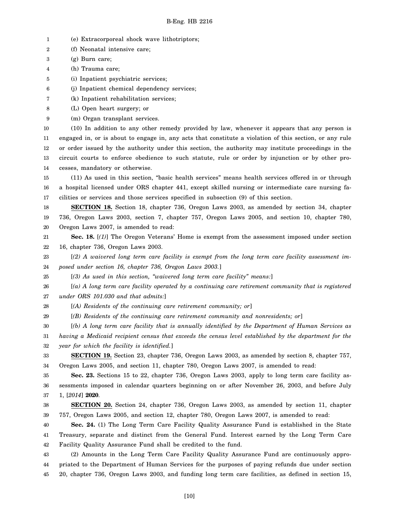- 1 (e) Extracorporeal shock wave lithotriptors;
- 2 (f) Neonatal intensive care;
- 3 (g) Burn care;
- 4 (h) Trauma care;
- 5 (i) Inpatient psychiatric services;
- 6 (j) Inpatient chemical dependency services;
- 7 (k) Inpatient rehabilitation services;
- 8 (L) Open heart surgery; or
- 9 (m) Organ transplant services.

10 11 12 13 14 (10) In addition to any other remedy provided by law, whenever it appears that any person is engaged in, or is about to engage in, any acts that constitute a violation of this section, or any rule or order issued by the authority under this section, the authority may institute proceedings in the circuit courts to enforce obedience to such statute, rule or order by injunction or by other processes, mandatory or otherwise.

15 16 17 (11) As used in this section, "basic health services" means health services offered in or through a hospital licensed under ORS chapter 441, except skilled nursing or intermediate care nursing facilities or services and those services specified in subsection (9) of this section.

18 19 20 **SECTION 18.** Section 18, chapter 736, Oregon Laws 2003, as amended by section 34, chapter 736, Oregon Laws 2003, section 7, chapter 757, Oregon Laws 2005, and section 10, chapter 780, Oregon Laws 2007, is amended to read:

21 22 **Sec. 18.** [*(1)*] The Oregon Veterans' Home is exempt from the assessment imposed under section 16, chapter 736, Oregon Laws 2003.

23 24 [*(2) A waivered long term care facility is exempt from the long term care facility assessment imposed under section 16, chapter 736, Oregon Laws 2003.*]

25 [*(3) As used in this section, "waivered long term care facility" means:*]

26 27 [*(a) A long term care facility operated by a continuing care retirement community that is registered under ORS 101.030 and that admits:*]

28 [*(A) Residents of the continuing care retirement community; or*]

29 [*(B) Residents of the continuing care retirement community and nonresidents; or*]

30 31 32 [*(b) A long term care facility that is annually identified by the Department of Human Services as having a Medicaid recipient census that exceeds the census level established by the department for the year for which the facility is identified.*]

33 34 **SECTION 19.** Section 23, chapter 736, Oregon Laws 2003, as amended by section 8, chapter 757, Oregon Laws 2005, and section 11, chapter 780, Oregon Laws 2007, is amended to read:

35 36 37 **Sec. 23.** Sections 15 to 22, chapter 736, Oregon Laws 2003, apply to long term care facility assessments imposed in calendar quarters beginning on or after November 26, 2003, and before July 1, [*2014*] **2020**.

38 39 **SECTION 20.** Section 24, chapter 736, Oregon Laws 2003, as amended by section 11, chapter 757, Oregon Laws 2005, and section 12, chapter 780, Oregon Laws 2007, is amended to read:

40 41 42 **Sec. 24.** (1) The Long Term Care Facility Quality Assurance Fund is established in the State Treasury, separate and distinct from the General Fund. Interest earned by the Long Term Care Facility Quality Assurance Fund shall be credited to the fund.

43 44 45 (2) Amounts in the Long Term Care Facility Quality Assurance Fund are continuously appropriated to the Department of Human Services for the purposes of paying refunds due under section 20, chapter 736, Oregon Laws 2003, and funding long term care facilities, as defined in section 15,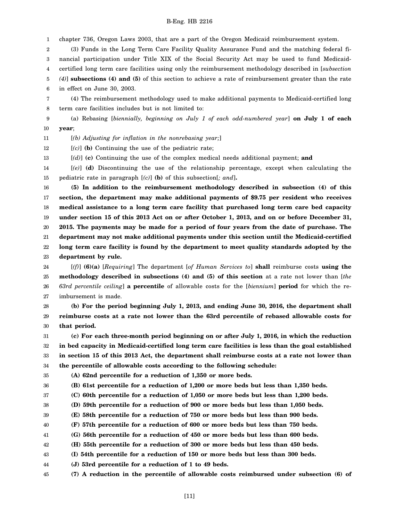1 chapter 736, Oregon Laws 2003, that are a part of the Oregon Medicaid reimbursement system.

2 3 4 5 6 (3) Funds in the Long Term Care Facility Quality Assurance Fund and the matching federal financial participation under Title XIX of the Social Security Act may be used to fund Medicaidcertified long term care facilities using only the reimbursement methodology described in [*subsection (4)*] **subsections (4) and (5)** of this section to achieve a rate of reimbursement greater than the rate in effect on June 30, 2003.

7 8 (4) The reimbursement methodology used to make additional payments to Medicaid-certified long term care facilities includes but is not limited to:

9 10 (a) Rebasing [*biennially, beginning on July 1 of each odd-numbered year*] **on July 1 of each year**;

11 [*(b) Adjusting for inflation in the nonrebasing year;*]

12 [*(c)*] **(b)** Continuing the use of the pediatric rate;

13 [*(d)*] **(c)** Continuing the use of the complex medical needs additional payment; **and**

14 15 [*(e)*] **(d)** Discontinuing the use of the relationship percentage, except when calculating the pediatric rate in paragraph [*(c)*] **(b)** of this subsection[*; and*]**.**

16 17 18 19 20 21 22 23 **(5) In addition to the reimbursement methodology described in subsection (4) of this section, the department may make additional payments of \$9.75 per resident who receives medical assistance to a long term care facility that purchased long term care bed capacity under section 15 of this 2013 Act on or after October 1, 2013, and on or before December 31, 2015. The payments may be made for a period of four years from the date of purchase. The department may not make additional payments under this section until the Medicaid-certified long term care facility is found by the department to meet quality standards adopted by the department by rule.**

24 25 26 27 [*(f)*] **(6)(a)** [*Requiring*] The department [*of Human Services to*] **shall** reimburse costs **using the methodology described in subsections (4) and (5) of this section** at a rate not lower than [*the 63rd percentile ceiling*] **a percentile** of allowable costs for the [*biennium*] **period** for which the reimbursement is made.

28 29 30 **(b) For the period beginning July 1, 2013, and ending June 30, 2016, the department shall reimburse costs at a rate not lower than the 63rd percentile of rebased allowable costs for that period.**

31 32 33 34 **(c) For each three-month period beginning on or after July 1, 2016, in which the reduction in bed capacity in Medicaid-certified long term care facilities is less than the goal established in section 15 of this 2013 Act, the department shall reimburse costs at a rate not lower than the percentile of allowable costs according to the following schedule:**

35

36

37

**(A) 62nd percentile for a reduction of 1,350 or more beds.**

**(B) 61st percentile for a reduction of 1,200 or more beds but less than 1,350 beds.**

**(C) 60th percentile for a reduction of 1,050 or more beds but less than 1,200 beds.**

38 **(D) 59th percentile for a reduction of 900 or more beds but less than 1,050 beds.**

39 **(E) 58th percentile for a reduction of 750 or more beds but less than 900 beds.**

40 **(F) 57th percentile for a reduction of 600 or more beds but less than 750 beds.**

41 **(G) 56th percentile for a reduction of 450 or more beds but less than 600 beds.**

42 **(H) 55th percentile for a reduction of 300 or more beds but less than 450 beds.**

43 **(I) 54th percentile for a reduction of 150 or more beds but less than 300 beds.**

44 **(J) 53rd percentile for a reduction of 1 to 49 beds.**

45 **(7) A reduction in the percentile of allowable costs reimbursed under subsection (6) of**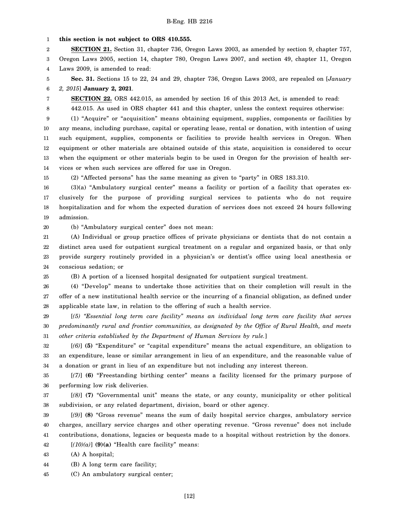#### 1 **this section is not subject to ORS 410.555.**

2 **SECTION 21.** Section 31, chapter 736, Oregon Laws 2003, as amended by section 9, chapter 757,

3 Oregon Laws 2005, section 14, chapter 780, Oregon Laws 2007, and section 49, chapter 11, Oregon

4 Laws 2009, is amended to read:

5 6 **Sec. 31.** Sections 15 to 22, 24 and 29, chapter 736, Oregon Laws 2003, are repealed on [*January 2, 2015*] **January 2, 2021**.

**SECTION 22.** ORS 442.015, as amended by section 16 of this 2013 Act, is amended to read:

442.015. As used in ORS chapter 441 and this chapter, unless the context requires otherwise:

9 10 11 12 13 14 (1) "Acquire" or "acquisition" means obtaining equipment, supplies, components or facilities by any means, including purchase, capital or operating lease, rental or donation, with intention of using such equipment, supplies, components or facilities to provide health services in Oregon. When equipment or other materials are obtained outside of this state, acquisition is considered to occur when the equipment or other materials begin to be used in Oregon for the provision of health services or when such services are offered for use in Oregon.

15 (2) "Affected persons" has the same meaning as given to "party" in ORS 183.310.

16 17 18 19 (3)(a) "Ambulatory surgical center" means a facility or portion of a facility that operates exclusively for the purpose of providing surgical services to patients who do not require hospitalization and for whom the expected duration of services does not exceed 24 hours following admission.

20

25

7 8

(b) "Ambulatory surgical center" does not mean:

21 22 23 24 (A) Individual or group practice offices of private physicians or dentists that do not contain a distinct area used for outpatient surgical treatment on a regular and organized basis, or that only provide surgery routinely provided in a physician's or dentist's office using local anesthesia or conscious sedation; or

(B) A portion of a licensed hospital designated for outpatient surgical treatment.

26 27 28 (4) "Develop" means to undertake those activities that on their completion will result in the offer of a new institutional health service or the incurring of a financial obligation, as defined under applicable state law, in relation to the offering of such a health service.

29 30 31 [*(5) "Essential long term care facility" means an individual long term care facility that serves predominantly rural and frontier communities, as designated by the Office of Rural Health, and meets other criteria established by the Department of Human Services by rule.*]

32 33 34 [*(6)*] **(5)** "Expenditure" or "capital expenditure" means the actual expenditure, an obligation to an expenditure, lease or similar arrangement in lieu of an expenditure, and the reasonable value of a donation or grant in lieu of an expenditure but not including any interest thereon.

35 36 [*(7)*] **(6)** "Freestanding birthing center" means a facility licensed for the primary purpose of performing low risk deliveries.

37 38 [*(8)*] **(7)** "Governmental unit" means the state, or any county, municipality or other political subdivision, or any related department, division, board or other agency.

39 40 41 [*(9)*] **(8)** "Gross revenue" means the sum of daily hospital service charges, ambulatory service charges, ancillary service charges and other operating revenue. "Gross revenue" does not include contributions, donations, legacies or bequests made to a hospital without restriction by the donors.

42  $[(10)(a)]$  (9)(a) "Health care facility" means:

43 (A) A hospital;

44 (B) A long term care facility;

45 (C) An ambulatory surgical center;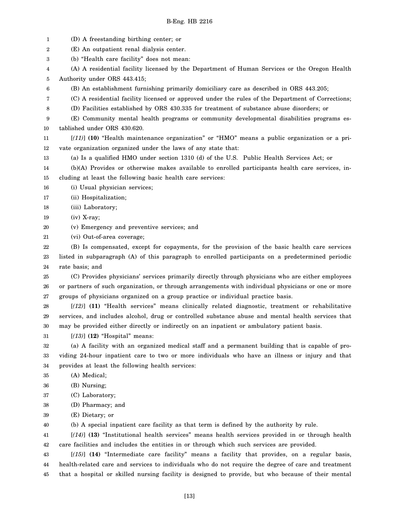1 2 3 4 5 6 7 8 9 10 11 12 13 14 15 16 17 18 19 20 21 22 23 24 25 26 27 28 29 30 31 32 33 34 35 36 37 38 39 40 41 42 43 44 45 (D) A freestanding birthing center; or (E) An outpatient renal dialysis center. (b) "Health care facility" does not mean: (A) A residential facility licensed by the Department of Human Services or the Oregon Health Authority under ORS 443.415; (B) An establishment furnishing primarily domiciliary care as described in ORS 443.205; (C) A residential facility licensed or approved under the rules of the Department of Corrections; (D) Facilities established by ORS 430.335 for treatment of substance abuse disorders; or (E) Community mental health programs or community developmental disabilities programs established under ORS 430.620. [*(11)*] **(10)** "Health maintenance organization" or "HMO" means a public organization or a private organization organized under the laws of any state that: (a) Is a qualified HMO under section 1310 (d) of the U.S. Public Health Services Act; or (b)(A) Provides or otherwise makes available to enrolled participants health care services, including at least the following basic health care services: (i) Usual physician services; (ii) Hospitalization; (iii) Laboratory; (iv) X-ray; (v) Emergency and preventive services; and (vi) Out-of-area coverage; (B) Is compensated, except for copayments, for the provision of the basic health care services listed in subparagraph (A) of this paragraph to enrolled participants on a predetermined periodic rate basis; and (C) Provides physicians' services primarily directly through physicians who are either employees or partners of such organization, or through arrangements with individual physicians or one or more groups of physicians organized on a group practice or individual practice basis. [*(12)*] **(11)** "Health services" means clinically related diagnostic, treatment or rehabilitative services, and includes alcohol, drug or controlled substance abuse and mental health services that may be provided either directly or indirectly on an inpatient or ambulatory patient basis. [*(13)*] **(12)** "Hospital" means: (a) A facility with an organized medical staff and a permanent building that is capable of providing 24-hour inpatient care to two or more individuals who have an illness or injury and that provides at least the following health services: (A) Medical; (B) Nursing; (C) Laboratory; (D) Pharmacy; and (E) Dietary; or (b) A special inpatient care facility as that term is defined by the authority by rule. [*(14)*] **(13)** "Institutional health services" means health services provided in or through health care facilities and includes the entities in or through which such services are provided. [*(15)*] **(14)** "Intermediate care facility" means a facility that provides, on a regular basis, health-related care and services to individuals who do not require the degree of care and treatment that a hospital or skilled nursing facility is designed to provide, but who because of their mental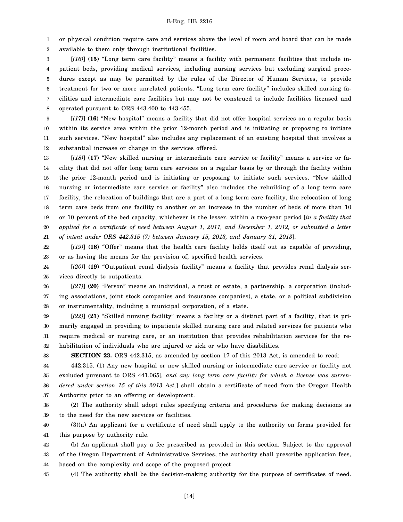1 or physical condition require care and services above the level of room and board that can be made

2 available to them only through institutional facilities.

3 4 5 6 7 8 [*(16)*] **(15)** "Long term care facility" means a facility with permanent facilities that include inpatient beds, providing medical services, including nursing services but excluding surgical procedures except as may be permitted by the rules of the Director of Human Services, to provide treatment for two or more unrelated patients. "Long term care facility" includes skilled nursing facilities and intermediate care facilities but may not be construed to include facilities licensed and operated pursuant to ORS 443.400 to 443.455.

9 10 11 12 [*(17)*] **(16)** "New hospital" means a facility that did not offer hospital services on a regular basis within its service area within the prior 12-month period and is initiating or proposing to initiate such services. "New hospital" also includes any replacement of an existing hospital that involves a substantial increase or change in the services offered.

13 14 15 16 17 18 19 20 21 [*(18)*] **(17)** "New skilled nursing or intermediate care service or facility" means a service or facility that did not offer long term care services on a regular basis by or through the facility within the prior 12-month period and is initiating or proposing to initiate such services. "New skilled nursing or intermediate care service or facility" also includes the rebuilding of a long term care facility, the relocation of buildings that are a part of a long term care facility, the relocation of long term care beds from one facility to another or an increase in the number of beds of more than 10 or 10 percent of the bed capacity, whichever is the lesser, within a two-year period [*in a facility that applied for a certificate of need between August 1, 2011, and December 1, 2012, or submitted a letter of intent under ORS 442.315 (7) between January 15, 2013, and January 31, 2013*].

22 23 [*(19)*] **(18)** "Offer" means that the health care facility holds itself out as capable of providing, or as having the means for the provision of, specified health services.

24 25 [*(20)*] **(19)** "Outpatient renal dialysis facility" means a facility that provides renal dialysis services directly to outpatients.

26 27 28 [*(21)*] **(20)** "Person" means an individual, a trust or estate, a partnership, a corporation (including associations, joint stock companies and insurance companies), a state, or a political subdivision or instrumentality, including a municipal corporation, of a state.

29 30 31 32 [*(22)*] **(21)** "Skilled nursing facility" means a facility or a distinct part of a facility, that is primarily engaged in providing to inpatients skilled nursing care and related services for patients who require medical or nursing care, or an institution that provides rehabilitation services for the rehabilitation of individuals who are injured or sick or who have disabilities.

33

**SECTION 23.** ORS 442.315, as amended by section 17 of this 2013 Act, is amended to read:

34 35 36 37 442.315. (1) Any new hospital or new skilled nursing or intermediate care service or facility not excluded pursuant to ORS 441.065[*, and any long term care facility for which a license was surrendered under section 15 of this 2013 Act,*] shall obtain a certificate of need from the Oregon Health Authority prior to an offering or development.

38 39 (2) The authority shall adopt rules specifying criteria and procedures for making decisions as to the need for the new services or facilities.

40 41 (3)(a) An applicant for a certificate of need shall apply to the authority on forms provided for this purpose by authority rule.

42 43 44 (b) An applicant shall pay a fee prescribed as provided in this section. Subject to the approval of the Oregon Department of Administrative Services, the authority shall prescribe application fees, based on the complexity and scope of the proposed project.

45 (4) The authority shall be the decision-making authority for the purpose of certificates of need.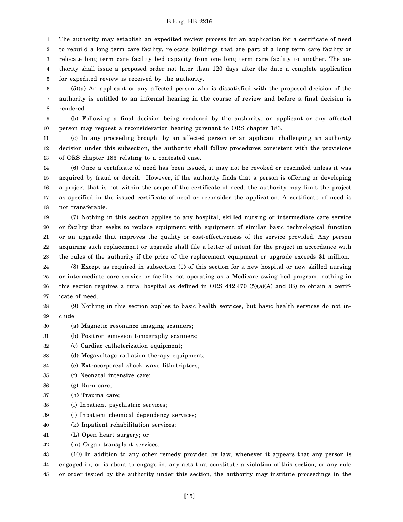1 2 The authority may establish an expedited review process for an application for a certificate of need to rebuild a long term care facility, relocate buildings that are part of a long term care facility or

3 4 5 relocate long term care facility bed capacity from one long term care facility to another. The authority shall issue a proposed order not later than 120 days after the date a complete application for expedited review is received by the authority.

6 7 8 (5)(a) An applicant or any affected person who is dissatisfied with the proposed decision of the authority is entitled to an informal hearing in the course of review and before a final decision is rendered.

9 10 (b) Following a final decision being rendered by the authority, an applicant or any affected person may request a reconsideration hearing pursuant to ORS chapter 183.

11 12 13 (c) In any proceeding brought by an affected person or an applicant challenging an authority decision under this subsection, the authority shall follow procedures consistent with the provisions of ORS chapter 183 relating to a contested case.

14 15 16 17 18 (6) Once a certificate of need has been issued, it may not be revoked or rescinded unless it was acquired by fraud or deceit. However, if the authority finds that a person is offering or developing a project that is not within the scope of the certificate of need, the authority may limit the project as specified in the issued certificate of need or reconsider the application. A certificate of need is not transferable.

19 20 21 22 23 (7) Nothing in this section applies to any hospital, skilled nursing or intermediate care service or facility that seeks to replace equipment with equipment of similar basic technological function or an upgrade that improves the quality or cost-effectiveness of the service provided. Any person acquiring such replacement or upgrade shall file a letter of intent for the project in accordance with the rules of the authority if the price of the replacement equipment or upgrade exceeds \$1 million.

24 25 26 27 (8) Except as required in subsection (1) of this section for a new hospital or new skilled nursing or intermediate care service or facility not operating as a Medicare swing bed program, nothing in this section requires a rural hospital as defined in ORS  $442.470$  (5)(a)(A) and (B) to obtain a certificate of need.

28 29 (9) Nothing in this section applies to basic health services, but basic health services do not include:

- 30 (a) Magnetic resonance imaging scanners;
- 31 (b) Positron emission tomography scanners;
- 32 (c) Cardiac catheterization equipment;
- 33 (d) Megavoltage radiation therapy equipment;
- 34 (e) Extracorporeal shock wave lithotriptors;
- 35 (f) Neonatal intensive care;
- 36 (g) Burn care;
- 37 (h) Trauma care;
- 38 (i) Inpatient psychiatric services;
- 39 (j) Inpatient chemical dependency services;
- 40 (k) Inpatient rehabilitation services;
- 41 (L) Open heart surgery; or
- 42 (m) Organ transplant services.

43 44 45 (10) In addition to any other remedy provided by law, whenever it appears that any person is engaged in, or is about to engage in, any acts that constitute a violation of this section, or any rule or order issued by the authority under this section, the authority may institute proceedings in the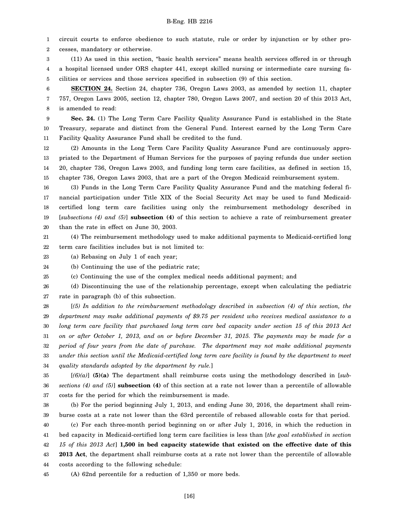1 2 circuit courts to enforce obedience to such statute, rule or order by injunction or by other processes, mandatory or otherwise.

3 (11) As used in this section, "basic health services" means health services offered in or through

4 5 a hospital licensed under ORS chapter 441, except skilled nursing or intermediate care nursing facilities or services and those services specified in subsection (9) of this section.

6 7 8 **SECTION 24.** Section 24, chapter 736, Oregon Laws 2003, as amended by section 11, chapter 757, Oregon Laws 2005, section 12, chapter 780, Oregon Laws 2007, and section 20 of this 2013 Act, is amended to read:

9 10 11 **Sec. 24.** (1) The Long Term Care Facility Quality Assurance Fund is established in the State Treasury, separate and distinct from the General Fund. Interest earned by the Long Term Care Facility Quality Assurance Fund shall be credited to the fund.

12 13 14 15 (2) Amounts in the Long Term Care Facility Quality Assurance Fund are continuously appropriated to the Department of Human Services for the purposes of paying refunds due under section 20, chapter 736, Oregon Laws 2003, and funding long term care facilities, as defined in section 15, chapter 736, Oregon Laws 2003, that are a part of the Oregon Medicaid reimbursement system.

16 17 18 19 20 (3) Funds in the Long Term Care Facility Quality Assurance Fund and the matching federal financial participation under Title XIX of the Social Security Act may be used to fund Medicaidcertified long term care facilities using only the reimbursement methodology described in [*subsections (4) and (5)*] **subsection (4)** of this section to achieve a rate of reimbursement greater than the rate in effect on June 30, 2003.

21 22 (4) The reimbursement methodology used to make additional payments to Medicaid-certified long term care facilities includes but is not limited to:

23 (a) Rebasing on July 1 of each year;

24 (b) Continuing the use of the pediatric rate;

25 (c) Continuing the use of the complex medical needs additional payment; and

26 27 (d) Discontinuing the use of the relationship percentage, except when calculating the pediatric rate in paragraph (b) of this subsection.

28 29 30 31 32 33 34 [*(5) In addition to the reimbursement methodology described in subsection (4) of this section, the department may make additional payments of \$9.75 per resident who receives medical assistance to a long term care facility that purchased long term care bed capacity under section 15 of this 2013 Act on or after October 1, 2013, and on or before December 31, 2015. The payments may be made for a period of four years from the date of purchase. The department may not make additional payments under this section until the Medicaid-certified long term care facility is found by the department to meet quality standards adopted by the department by rule.*]

35 36 37 [*(6)(a)*] **(5)(a)** The department shall reimburse costs using the methodology described in [*subsections (4) and (5)*] **subsection (4)** of this section at a rate not lower than a percentile of allowable costs for the period for which the reimbursement is made.

38 39 (b) For the period beginning July 1, 2013, and ending June 30, 2016, the department shall reimburse costs at a rate not lower than the 63rd percentile of rebased allowable costs for that period.

40 41 42 43 44 (c) For each three-month period beginning on or after July 1, 2016, in which the reduction in bed capacity in Medicaid-certified long term care facilities is less than [*the goal established in section 15 of this 2013 Act*] **1,500 in bed capacity statewide that existed on the effective date of this 2013 Act**, the department shall reimburse costs at a rate not lower than the percentile of allowable costs according to the following schedule:

45 (A) 62nd percentile for a reduction of 1,350 or more beds.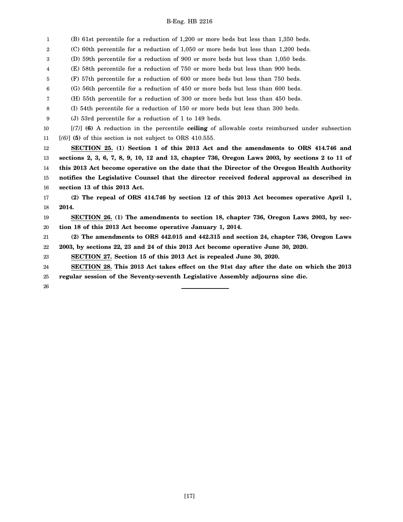1 2 3 4 5 6 7 8 9 10 11 12 13 14 15 16 17 18 19 20 21 22 23 24 25 26 (B) 61st percentile for a reduction of 1,200 or more beds but less than 1,350 beds. (C) 60th percentile for a reduction of 1,050 or more beds but less than 1,200 beds. (D) 59th percentile for a reduction of 900 or more beds but less than 1,050 beds. (E) 58th percentile for a reduction of 750 or more beds but less than 900 beds. (F) 57th percentile for a reduction of 600 or more beds but less than 750 beds. (G) 56th percentile for a reduction of 450 or more beds but less than 600 beds. (H) 55th percentile for a reduction of 300 or more beds but less than 450 beds. (I) 54th percentile for a reduction of 150 or more beds but less than 300 beds. (J) 53rd percentile for a reduction of 1 to 149 beds. [*(7)*] **(6)** A reduction in the percentile **ceiling** of allowable costs reimbursed under subsection [*(6)*] **(5)** of this section is not subject to ORS 410.555. **SECTION 25. (1) Section 1 of this 2013 Act and the amendments to ORS 414.746 and sections 2, 3, 6, 7, 8, 9, 10, 12 and 13, chapter 736, Oregon Laws 2003, by sections 2 to 11 of this 2013 Act become operative on the date that the Director of the Oregon Health Authority notifies the Legislative Counsel that the director received federal approval as described in section 13 of this 2013 Act. (2) The repeal of ORS 414.746 by section 12 of this 2013 Act becomes operative April 1, 2014. SECTION 26. (1) The amendments to section 18, chapter 736, Oregon Laws 2003, by section 18 of this 2013 Act become operative January 1, 2014. (2) The amendments to ORS 442.015 and 442.315 and section 24, chapter 736, Oregon Laws 2003, by sections 22, 23 and 24 of this 2013 Act become operative June 30, 2020. SECTION 27. Section 15 of this 2013 Act is repealed June 30, 2020. SECTION 28. This 2013 Act takes effect on the 91st day after the date on which the 2013 regular session of the Seventy-seventh Legislative Assembly adjourns sine die.**

[17]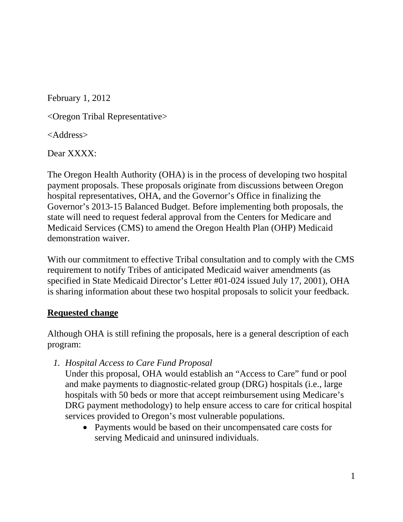February 1, 2012

<Oregon Tribal Representative>

<Address>

Dear XXXX:

The Oregon Health Authority (OHA) is in the process of developing two hospital payment proposals. These proposals originate from discussions between Oregon hospital representatives, OHA, and the Governor's Office in finalizing the Governor's 2013-15 Balanced Budget. Before implementing both proposals, the state will need to request federal approval from the Centers for Medicare and Medicaid Services (CMS) to amend the Oregon Health Plan (OHP) Medicaid demonstration waiver.

With our commitment to effective Tribal consultation and to comply with the CMS requirement to notify Tribes of anticipated Medicaid waiver amendments (as specified in State Medicaid Director's Letter #01-024 issued July 17, 2001), OHA is sharing information about these two hospital proposals to solicit your feedback.

## **Requested change**

Although OHA is still refining the proposals, here is a general description of each program:

*1. Hospital Access to Care Fund Proposal* 

Under this proposal, OHA would establish an "Access to Care" fund or pool and make payments to diagnostic-related group (DRG) hospitals (i.e., large hospitals with 50 beds or more that accept reimbursement using Medicare's DRG payment methodology) to help ensure access to care for critical hospital services provided to Oregon's most vulnerable populations.

• Payments would be based on their uncompensated care costs for serving Medicaid and uninsured individuals.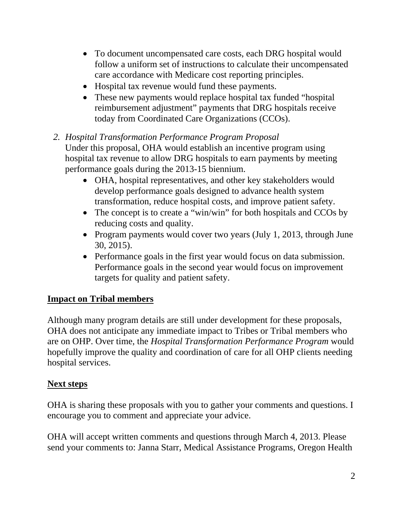- To document uncompensated care costs, each DRG hospital would follow a uniform set of instructions to calculate their uncompensated care accordance with Medicare cost reporting principles.
- Hospital tax revenue would fund these payments.
- These new payments would replace hospital tax funded "hospital" reimbursement adjustment" payments that DRG hospitals receive today from Coordinated Care Organizations (CCOs).
- *2. Hospital Transformation Performance Program Proposal*  Under this proposal, OHA would establish an incentive program using hospital tax revenue to allow DRG hospitals to earn payments by meeting performance goals during the 2013-15 biennium.
	- OHA, hospital representatives, and other key stakeholders would develop performance goals designed to advance health system transformation, reduce hospital costs, and improve patient safety.
	- The concept is to create a "win/win" for both hospitals and CCOs by reducing costs and quality.
	- Program payments would cover two years (July 1, 2013, through June 30, 2015).
	- Performance goals in the first year would focus on data submission. Performance goals in the second year would focus on improvement targets for quality and patient safety.

## **Impact on Tribal members**

Although many program details are still under development for these proposals, OHA does not anticipate any immediate impact to Tribes or Tribal members who are on OHP. Over time, the *Hospital Transformation Performance Program* would hopefully improve the quality and coordination of care for all OHP clients needing hospital services.

## **Next steps**

OHA is sharing these proposals with you to gather your comments and questions. I encourage you to comment and appreciate your advice.

OHA will accept written comments and questions through March 4, 2013. Please send your comments to: Janna Starr, Medical Assistance Programs, Oregon Health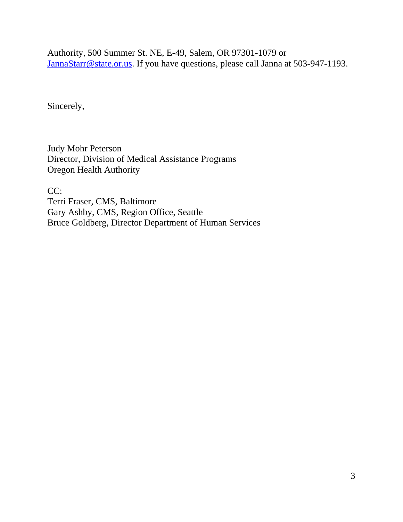Authority, 500 Summer St. NE, E-49, Salem, OR 97301-1079 or JannaStarr@state.or.us. If you have questions, please call Janna at 503-947-1193.

Sincerely,

Judy Mohr Peterson Director, Division of Medical Assistance Programs Oregon Health Authority

CC:

Terri Fraser, CMS, Baltimore Gary Ashby, CMS, Region Office, Seattle Bruce Goldberg, Director Department of Human Services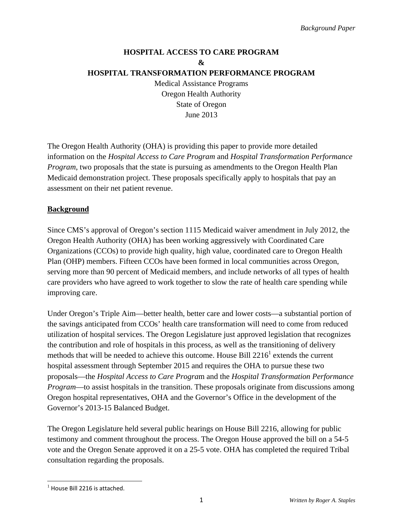## **HOSPITAL ACCESS TO CARE PROGRAM & HOSPITAL TRANSFORMATION PERFORMANCE PROGRAM**

Medical Assistance Programs Oregon Health Authority State of Oregon June 2013

The Oregon Health Authority (OHA) is providing this paper to provide more detailed information on the *Hospital Access to Care Program* and *Hospital Transformation Performance Program*, two proposals that the state is pursuing as amendments to the Oregon Health Plan Medicaid demonstration project. These proposals specifically apply to hospitals that pay an assessment on their net patient revenue.

## **Background**

Since CMS's approval of Oregon's section 1115 Medicaid waiver amendment in July 2012, the Oregon Health Authority (OHA) has been working aggressively with Coordinated Care Organizations (CCOs) to provide high quality, high value, coordinated care to Oregon Health Plan (OHP) members. Fifteen CCOs have been formed in local communities across Oregon, serving more than 90 percent of Medicaid members, and include networks of all types of health care providers who have agreed to work together to slow the rate of health care spending while improving care.

Under Oregon's Triple Aim—better health, better care and lower costs—a substantial portion of the savings anticipated from CCOs' health care transformation will need to come from reduced utilization of hospital services. The Oregon Legislature just approved legislation that recognizes the contribution and role of hospitals in this process, as well as the transitioning of delivery methods that will be needed to achieve this outcome. House Bill  $2216<sup>1</sup>$  extends the current hospital assessment through September 2015 and requires the OHA to pursue these two proposals—the *Hospital Access to Care Progra*m and the *Hospital Transformation Performance Program*—to assist hospitals in the transition. These proposals originate from discussions among Oregon hospital representatives, OHA and the Governor's Office in the development of the Governor's 2013-15 Balanced Budget.

The Oregon Legislature held several public hearings on House Bill 2216, allowing for public testimony and comment throughout the process. The Oregon House approved the bill on a 54-5 vote and the Oregon Senate approved it on a 25-5 vote. OHA has completed the required Tribal consultation regarding the proposals.

l

 $<sup>1</sup>$  House Bill 2216 is attached.</sup>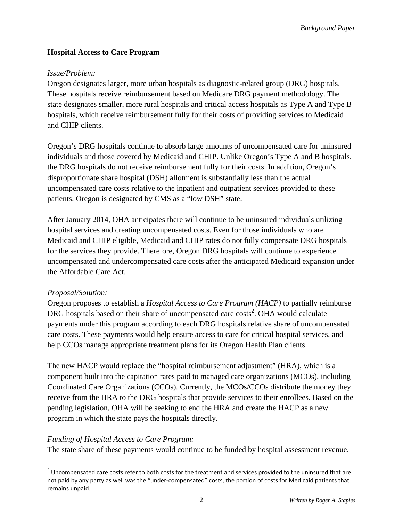*Background Paper* 

## **Hospital Access to Care Program**

## *Issue/Problem:*

Oregon designates larger, more urban hospitals as diagnostic-related group (DRG) hospitals. These hospitals receive reimbursement based on Medicare DRG payment methodology. The state designates smaller, more rural hospitals and critical access hospitals as Type A and Type B hospitals, which receive reimbursement fully for their costs of providing services to Medicaid and CHIP clients.

Oregon's DRG hospitals continue to absorb large amounts of uncompensated care for uninsured individuals and those covered by Medicaid and CHIP. Unlike Oregon's Type A and B hospitals, the DRG hospitals do not receive reimbursement fully for their costs. In addition, Oregon's disproportionate share hospital (DSH) allotment is substantially less than the actual uncompensated care costs relative to the inpatient and outpatient services provided to these patients. Oregon is designated by CMS as a "low DSH" state.

After January 2014, OHA anticipates there will continue to be uninsured individuals utilizing hospital services and creating uncompensated costs. Even for those individuals who are Medicaid and CHIP eligible, Medicaid and CHIP rates do not fully compensate DRG hospitals for the services they provide. Therefore, Oregon DRG hospitals will continue to experience uncompensated and undercompensated care costs after the anticipated Medicaid expansion under the Affordable Care Act.

## *Proposal/Solution:*

Oregon proposes to establish a *Hospital Access to Care Program (HACP)* to partially reimburse DRG hospitals based on their share of uncompensated care  $costs^2$ . OHA would calculate payments under this program according to each DRG hospitals relative share of uncompensated care costs. These payments would help ensure access to care for critical hospital services, and help CCOs manage appropriate treatment plans for its Oregon Health Plan clients.

The new HACP would replace the "hospital reimbursement adjustment" (HRA), which is a component built into the capitation rates paid to managed care organizations (MCOs), including Coordinated Care Organizations (CCOs). Currently, the MCOs/CCOs distribute the money they receive from the HRA to the DRG hospitals that provide services to their enrollees. Based on the pending legislation, OHA will be seeking to end the HRA and create the HACP as a new program in which the state pays the hospitals directly.

## *Funding of Hospital Access to Care Program:*

The state share of these payments would continue to be funded by hospital assessment revenue.

l  $2$  Uncompensated care costs refer to both costs for the treatment and services provided to the uninsured that are not paid by any party as well was the "under‐compensated" costs, the portion of costs for Medicaid patients that remains unpaid.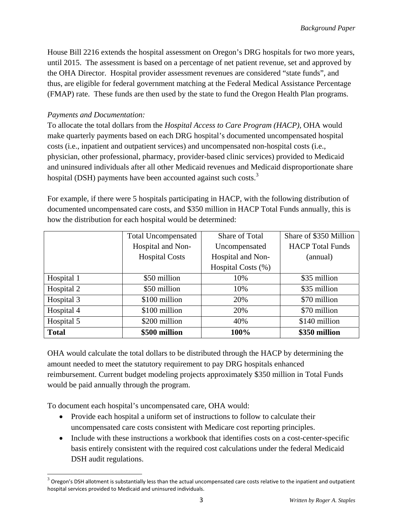House Bill 2216 extends the hospital assessment on Oregon's DRG hospitals for two more years, until 2015. The assessment is based on a percentage of net patient revenue, set and approved by the OHA Director. Hospital provider assessment revenues are considered "state funds", and thus, are eligible for federal government matching at the Federal Medical Assistance Percentage (FMAP) rate. These funds are then used by the state to fund the Oregon Health Plan programs.

## *Payments and Documentation:*

To allocate the total dollars from the *Hospital Access to Care Program (HACP),* OHA would make quarterly payments based on each DRG hospital's documented uncompensated hospital costs (i.e., inpatient and outpatient services) and uncompensated non-hospital costs (i.e., physician, other professional, pharmacy, provider-based clinic services) provided to Medicaid and uninsured individuals after all other Medicaid revenues and Medicaid disproportionate share hospital (DSH) payments have been accounted against such costs. $3$ 

For example, if there were 5 hospitals participating in HACP, with the following distribution of documented uncompensated care costs, and \$350 million in HACP Total Funds annually, this is how the distribution for each hospital would be determined:

|              | <b>Total Uncompensated</b> | Share of Total     | Share of \$350 Million  |
|--------------|----------------------------|--------------------|-------------------------|
|              | Hospital and Non-          | Uncompensated      | <b>HACP</b> Total Funds |
|              | <b>Hospital Costs</b>      | Hospital and Non-  | (annual)                |
|              |                            | Hospital Costs (%) |                         |
| Hospital 1   | \$50 million               | 10%                | \$35 million            |
| Hospital 2   | \$50 million               | 10%                | \$35 million            |
| Hospital 3   | \$100 million              | 20%                | \$70 million            |
| Hospital 4   | \$100 million              | 20%                | \$70 million            |
| Hospital 5   | \$200 million              | 40%                | \$140 million           |
| <b>Total</b> | \$500 million              | 100%               | \$350 million           |

OHA would calculate the total dollars to be distributed through the HACP by determining the amount needed to meet the statutory requirement to pay DRG hospitals enhanced reimbursement. Current budget modeling projects approximately \$350 million in Total Funds would be paid annually through the program.

To document each hospital's uncompensated care, OHA would:

l

- Provide each hospital a uniform set of instructions to follow to calculate their uncompensated care costs consistent with Medicare cost reporting principles.
- Include with these instructions a workbook that identifies costs on a cost-center-specific basis entirely consistent with the required cost calculations under the federal Medicaid DSH audit regulations.

 $3$  Oregon's DSH allotment is substantially less than the actual uncompensated care costs relative to the inpatient and outpatient hospital services provided to Medicaid and uninsured individuals.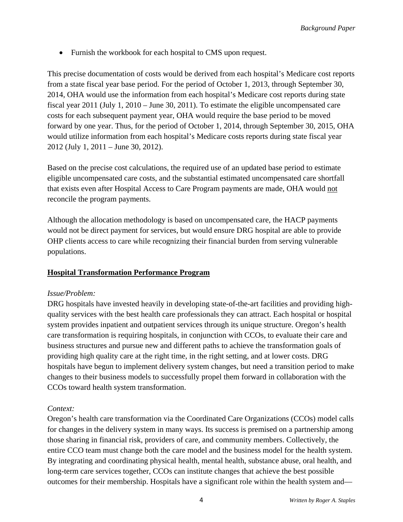• Furnish the workbook for each hospital to CMS upon request.

This precise documentation of costs would be derived from each hospital's Medicare cost reports from a state fiscal year base period. For the period of October 1, 2013, through September 30, 2014, OHA would use the information from each hospital's Medicare cost reports during state fiscal year 2011 (July 1, 2010 – June 30, 2011). To estimate the eligible uncompensated care costs for each subsequent payment year, OHA would require the base period to be moved forward by one year. Thus, for the period of October 1, 2014, through September 30, 2015, OHA would utilize information from each hospital's Medicare costs reports during state fiscal year 2012 (July 1, 2011 – June 30, 2012).

Based on the precise cost calculations, the required use of an updated base period to estimate eligible uncompensated care costs, and the substantial estimated uncompensated care shortfall that exists even after Hospital Access to Care Program payments are made, OHA would not reconcile the program payments.

Although the allocation methodology is based on uncompensated care, the HACP payments would not be direct payment for services, but would ensure DRG hospital are able to provide OHP clients access to care while recognizing their financial burden from serving vulnerable populations.

## **Hospital Transformation Performance Program**

## *Issue/Problem:*

DRG hospitals have invested heavily in developing state-of-the-art facilities and providing highquality services with the best health care professionals they can attract. Each hospital or hospital system provides inpatient and outpatient services through its unique structure. Oregon's health care transformation is requiring hospitals, in conjunction with CCOs, to evaluate their care and business structures and pursue new and different paths to achieve the transformation goals of providing high quality care at the right time, in the right setting, and at lower costs. DRG hospitals have begun to implement delivery system changes, but need a transition period to make changes to their business models to successfully propel them forward in collaboration with the CCOs toward health system transformation.

## *Context:*

Oregon's health care transformation via the Coordinated Care Organizations (CCOs) model calls for changes in the delivery system in many ways. Its success is premised on a partnership among those sharing in financial risk, providers of care, and community members. Collectively, the entire CCO team must change both the care model and the business model for the health system. By integrating and coordinating physical health, mental health, substance abuse, oral health, and long-term care services together, CCOs can institute changes that achieve the best possible outcomes for their membership. Hospitals have a significant role within the health system and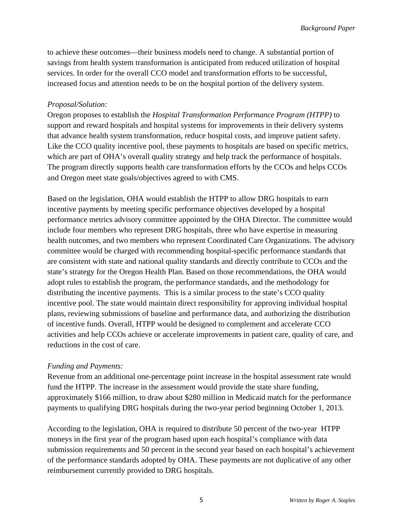to achieve these outcomes—their business models need to change. A substantial portion of savings from health system transformation is anticipated from reduced utilization of hospital services. In order for the overall CCO model and transformation efforts to be successful, increased focus and attention needs to be on the hospital portion of the delivery system.

## *Proposal/Solution:*

Oregon proposes to establish the *Hospital Transformation Performance Program (HTPP)* to support and reward hospitals and hospital systems for improvements in their delivery systems that advance health system transformation, reduce hospital costs, and improve patient safety. Like the CCO quality incentive pool, these payments to hospitals are based on specific metrics, which are part of OHA's overall quality strategy and help track the performance of hospitals. The program directly supports health care transformation efforts by the CCOs and helps CCOs and Oregon meet state goals/objectives agreed to with CMS.

Based on the legislation, OHA would establish the HTPP to allow DRG hospitals to earn incentive payments by meeting specific performance objectives developed by a hospital performance metrics advisory committee appointed by the OHA Director. The committee would include four members who represent DRG hospitals, three who have expertise in measuring health outcomes, and two members who represent Coordinated Care Organizations. The advisory committee would be charged with recommending hospital-specific performance standards that are consistent with state and national quality standards and directly contribute to CCOs and the state's strategy for the Oregon Health Plan. Based on those recommendations, the OHA would adopt rules to establish the program, the performance standards, and the methodology for distributing the incentive payments. This is a similar process to the state's CCO quality incentive pool. The state would maintain direct responsibility for approving individual hospital plans, reviewing submissions of baseline and performance data, and authorizing the distribution of incentive funds. Overall, HTPP would be designed to complement and accelerate CCO activities and help CCOs achieve or accelerate improvements in patient care, quality of care, and reductions in the cost of care.

## *Funding and Payments:*

Revenue from an additional one-percentage point increase in the hospital assessment rate would fund the HTPP. The increase in the assessment would provide the state share funding, approximately \$166 million, to draw about \$280 million in Medicaid match for the performance payments to qualifying DRG hospitals during the two-year period beginning October 1, 2013.

According to the legislation, OHA is required to distribute 50 percent of the two-year HTPP moneys in the first year of the program based upon each hospital's compliance with data submission requirements and 50 percent in the second year based on each hospital's achievement of the performance standards adopted by OHA. These payments are not duplicative of any other reimbursement currently provided to DRG hospitals.